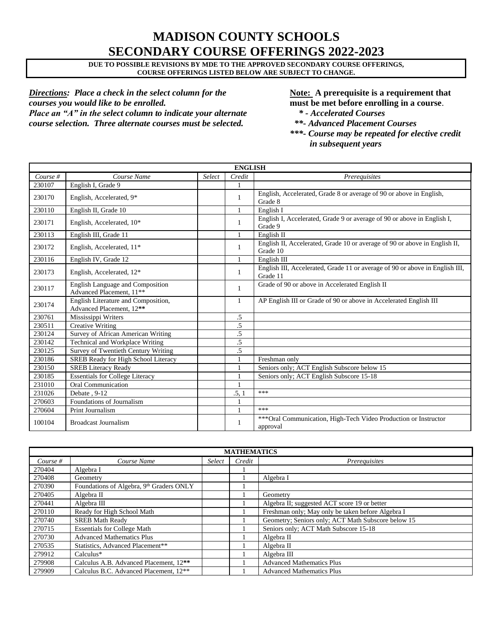# **MADISON COUNTY SCHOOLS SECONDARY COURSE OFFERINGS 2022-2023**

**DUE TO POSSIBLE REVISIONS BY MDE TO THE APPROVED SECONDARY COURSE OFFERINGS, COURSE OFFERINGS LISTED BELOW ARE SUBJECT TO CHANGE.**

*Directions: Place a check in the select column for the* **Note:** A prerequisite is a requirement that *courses you would like to be enrolled.* **must be met before enrolling in a course**. *Place an "A" in the select column to indicate your alternate \* - Accelerated Courses course selection. Three alternate courses must be selected. \*\*- Advanced Placement Courses*

*\*\*\*- Course may be repeated for elective credit in subsequent years*

| <b>ENGLISH</b> |                                                                          |        |              |                                                                                          |  |  |
|----------------|--------------------------------------------------------------------------|--------|--------------|------------------------------------------------------------------------------------------|--|--|
| Course $#$     | Course Name                                                              | Select | Credit       | Prerequisites                                                                            |  |  |
| 230107         | English I, Grade 9                                                       |        |              |                                                                                          |  |  |
| 230170         | English, Accelerated, 9*                                                 |        | 1            | English, Accelerated, Grade 8 or average of 90 or above in English,<br>Grade 8           |  |  |
| 230110         | English II, Grade 10                                                     |        | $\mathbf{1}$ | English I                                                                                |  |  |
| 230171         | English, Accelerated, 10*                                                |        | 1            | English I, Accelerated, Grade 9 or average of 90 or above in English I,<br>Grade 9       |  |  |
| 230113         | English III, Grade 11                                                    |        | 1            | English II                                                                               |  |  |
| 230172         | English, Accelerated, 11*                                                |        | 1            | English II, Accelerated, Grade 10 or average of 90 or above in English II,<br>Grade 10   |  |  |
| 230116         | English IV, Grade 12                                                     |        | $\mathbf{1}$ | English III                                                                              |  |  |
| 230173         | English, Accelerated, 12*                                                |        | 1            | English III, Accelerated, Grade 11 or average of 90 or above in English III,<br>Grade 11 |  |  |
| 230117         | English Language and Composition<br>Advanced Placement, 11 <sup>**</sup> |        | 1            | Grade of 90 or above in Accelerated English II                                           |  |  |
| 230174         | English Literature and Composition,<br>Advanced Placement, 12**          |        | 1            | AP English III or Grade of 90 or above in Accelerated English III                        |  |  |
| 230761         | Mississippi Writers                                                      |        | .5           |                                                                                          |  |  |
| 230511         | <b>Creative Writing</b>                                                  |        | $.5\,$       |                                                                                          |  |  |
| 230124         | Survey of African American Writing                                       |        | .5           |                                                                                          |  |  |
| 230142         | Technical and Workplace Writing                                          |        | .5           |                                                                                          |  |  |
| 230125         | Survey of Twentieth Century Writing                                      |        | .5           |                                                                                          |  |  |
| 230186         | SREB Ready for High School Literacy                                      |        |              | Freshman only                                                                            |  |  |
| 230150         | <b>SREB Literacy Ready</b>                                               |        |              | Seniors only; ACT English Subscore below 15                                              |  |  |
| 230185         | <b>Essentials for College Literacy</b>                                   |        |              | Seniors only; ACT English Subscore 15-18                                                 |  |  |
| 231010         | <b>Oral Communication</b>                                                |        |              |                                                                                          |  |  |
| 231026         | Debate . 9-12                                                            |        | .5, 1        | ***                                                                                      |  |  |
| 270603         | Foundations of Journalism                                                |        | $\mathbf{1}$ |                                                                                          |  |  |
| 270604         | Print Journalism                                                         |        |              | ***                                                                                      |  |  |
| 100104         | Broadcast Journalism                                                     |        | 1            | ***Oral Communication, High-Tech Video Production or Instructor<br>approval              |  |  |

| <b>MATHEMATICS</b> |                                                    |        |        |                                                    |  |  |  |
|--------------------|----------------------------------------------------|--------|--------|----------------------------------------------------|--|--|--|
| Course $#$         | Course Name                                        | Select | Credit | <i>Prerequisites</i>                               |  |  |  |
| 270404             | Algebra I                                          |        |        |                                                    |  |  |  |
| 270408             | Geometry                                           |        |        | Algebra I                                          |  |  |  |
| 270390             | Foundations of Algebra, 9th Graders ONLY           |        |        |                                                    |  |  |  |
| 270405             | Algebra II                                         |        |        | Geometry                                           |  |  |  |
| 270441             | Algebra III                                        |        |        | Algebra II; suggested ACT score 19 or better       |  |  |  |
| 270110             | Ready for High School Math                         |        |        | Freshman only; May only be taken before Algebra I  |  |  |  |
| 270740             | <b>SREB Math Ready</b>                             |        |        | Geometry; Seniors only; ACT Math Subscore below 15 |  |  |  |
| 270715             | <b>Essentials for College Math</b>                 |        |        | Seniors only; ACT Math Subscore 15-18              |  |  |  |
| 270730             | <b>Advanced Mathematics Plus</b>                   |        |        | Algebra $II$                                       |  |  |  |
| 270535             | Statistics, Advanced Placement**                   |        |        | Algebra II                                         |  |  |  |
| 279912             | $Calculus*$                                        |        |        | Algebra III                                        |  |  |  |
| 279908             | Calculus A.B. Advanced Placement, 12 <sup>**</sup> |        |        | <b>Advanced Mathematics Plus</b>                   |  |  |  |
| 279909             | Calculus B.C. Advanced Placement, 12 <sup>**</sup> |        |        | <b>Advanced Mathematics Plus</b>                   |  |  |  |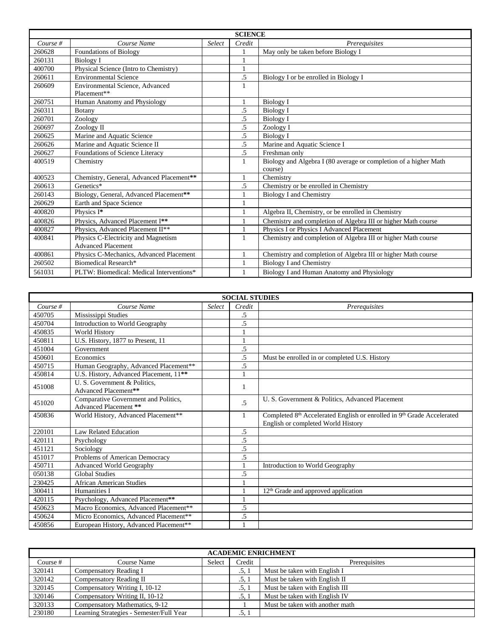|            | <b>SCIENCE</b>                                                   |        |              |                                                                  |  |  |  |
|------------|------------------------------------------------------------------|--------|--------------|------------------------------------------------------------------|--|--|--|
| Course $#$ | Course Name                                                      | Select | Credit       | Prerequisites                                                    |  |  |  |
| 260628     | <b>Foundations of Biology</b>                                    |        |              | May only be taken before Biology I                               |  |  |  |
| 260131     | Biology I                                                        |        |              |                                                                  |  |  |  |
| 400700     | Physical Science (Intro to Chemistry)                            |        | $\mathbf{1}$ |                                                                  |  |  |  |
| 260611     | <b>Environmental Science</b>                                     |        | .5           | Biology I or be enrolled in Biology I                            |  |  |  |
| 260609     | Environmental Science, Advanced<br>Placement**                   |        | 1            |                                                                  |  |  |  |
| 260751     | Human Anatomy and Physiology                                     |        | $\mathbf{1}$ | Biology I                                                        |  |  |  |
| 260311     | Botany                                                           |        | .5           | <b>Biology I</b>                                                 |  |  |  |
| 260701     | Zoology                                                          |        | .5           | <b>Biology I</b>                                                 |  |  |  |
| 260697     | Zoology II                                                       |        | .5           | Zoology I                                                        |  |  |  |
| 260625     | Marine and Aquatic Science                                       |        | .5           | <b>Biology I</b>                                                 |  |  |  |
| 260626     | Marine and Aquatic Science II                                    |        | .5           | Marine and Aquatic Science I                                     |  |  |  |
| 260627     | Foundations of Science Literacy                                  |        | .5           | Freshman only                                                    |  |  |  |
| 400519     | Chemistry                                                        |        | 1            | Biology and Algebra I (80 average or completion of a higher Math |  |  |  |
|            |                                                                  |        |              | course)                                                          |  |  |  |
| 400523     | Chemistry, General, Advanced Placement**                         |        | $\mathbf{1}$ | Chemistry                                                        |  |  |  |
| 260613     | Genetics*                                                        |        | .5           | Chemistry or be enrolled in Chemistry                            |  |  |  |
| 260143     | Biology, General, Advanced Placement**                           |        |              | Biology I and Chemistry                                          |  |  |  |
| 260629     | Earth and Space Science                                          |        |              |                                                                  |  |  |  |
| 400820     | Physics I*                                                       |        | $\mathbf{1}$ | Algebra II, Chemistry, or be enrolled in Chemistry               |  |  |  |
| 400826     | Physics, Advanced Placement I**                                  |        |              | Chemistry and completion of Algebra III or higher Math course    |  |  |  |
| 400827     | Physics, Advanced Placement II**                                 |        | 1            | Physics I or Physics I Advanced Placement                        |  |  |  |
| 400841     | Physics C-Electricity and Magnetism<br><b>Advanced Placement</b> |        | 1            | Chemistry and completion of Algebra III or higher Math course    |  |  |  |
| 400861     | Physics C-Mechanics, Advanced Placement                          |        | $\mathbf{1}$ | Chemistry and completion of Algebra III or higher Math course    |  |  |  |
| 260502     | Biomedical Research*                                             |        | 1            | <b>Biology I and Chemistry</b>                                   |  |  |  |
| 561031     | PLTW: Biomedical: Medical Interventions*                         |        |              | Biology I and Human Anatomy and Physiology                       |  |  |  |

| <b>SOCIAL STUDIES</b> |                                                               |        |                |                                                                                                                                      |  |  |
|-----------------------|---------------------------------------------------------------|--------|----------------|--------------------------------------------------------------------------------------------------------------------------------------|--|--|
| Course $#$            | Course Name                                                   | Select | Credit         | Prerequisites                                                                                                                        |  |  |
| 450705                | Mississippi Studies                                           |        | .5             |                                                                                                                                      |  |  |
| 450704                | Introduction to World Geography                               |        | .5             |                                                                                                                                      |  |  |
| 450835                | <b>World History</b>                                          |        |                |                                                                                                                                      |  |  |
| 450811                | U.S. History, 1877 to Present, 11                             |        | 1              |                                                                                                                                      |  |  |
| 451004                | Government                                                    |        | $\mathfrak{L}$ |                                                                                                                                      |  |  |
| 450601                | Economics                                                     |        | .5             | Must be enrolled in or completed U.S. History                                                                                        |  |  |
| 450715                | Human Geography, Advanced Placement**                         |        | $.5\,$         |                                                                                                                                      |  |  |
| 450814                | U.S. History, Advanced Placement, 11**                        |        | 1              |                                                                                                                                      |  |  |
| 451008                | U. S. Government & Politics,<br>Advanced Placement**          |        | 1              |                                                                                                                                      |  |  |
| 451020                | Comparative Government and Politics,<br>Advanced Placement ** |        | $.5\,$         | U. S. Government & Politics, Advanced Placement                                                                                      |  |  |
| 450836                | World History, Advanced Placement**                           |        | 1              | Completed 8 <sup>th</sup> Accelerated English or enrolled in 9 <sup>th</sup> Grade Accelerated<br>English or completed World History |  |  |
| 220101                | Law Related Education                                         |        | .5             |                                                                                                                                      |  |  |
| 420111                | Psychology                                                    |        | .5             |                                                                                                                                      |  |  |
| 451121                | Sociology                                                     |        | .5             |                                                                                                                                      |  |  |
| 451017                | Problems of American Democracy                                |        | .5             |                                                                                                                                      |  |  |
| 450711                | <b>Advanced World Geography</b>                               |        |                | Introduction to World Geography                                                                                                      |  |  |
| 050138                | <b>Global Studies</b>                                         |        | .5             |                                                                                                                                      |  |  |
| 230425                | <b>African American Studies</b>                               |        |                |                                                                                                                                      |  |  |
| 300411                | Humanities I                                                  |        |                | $12th$ Grade and approved application                                                                                                |  |  |
| 420115                | Psychology, Advanced Placement**                              |        | 1              |                                                                                                                                      |  |  |
| 450623                | Macro Economics, Advanced Placement**                         |        | .5             |                                                                                                                                      |  |  |
| 450624                | Micro Economics, Advanced Placement**                         |        | $.5\,$         |                                                                                                                                      |  |  |
| 450856                | European History, Advanced Placement**                        |        |                |                                                                                                                                      |  |  |

| <b>ACADEMIC ENRICHMENT</b> |                                          |        |        |                                 |  |  |
|----------------------------|------------------------------------------|--------|--------|---------------------------------|--|--|
| Course #                   | Course Name                              | Select | Credit | Prerequisites                   |  |  |
| 320141                     | Compensatory Reading I                   |        | .5.1   | Must be taken with English I    |  |  |
| 320142                     | Compensatory Reading II                  |        | .5.1   | Must be taken with English II   |  |  |
| 320145                     | Compensatory Writing I, 10-12            |        | .5, 1  | Must be taken with English III  |  |  |
| 320146                     | Compensatory Writing II, 10-12           |        | .5, 1  | Must be taken with English IV   |  |  |
| 320133                     | Compensatory Mathematics, 9-12           |        |        | Must be taken with another math |  |  |
| 230180                     | Learning Strategies - Semester/Full Year |        | .5, 1  |                                 |  |  |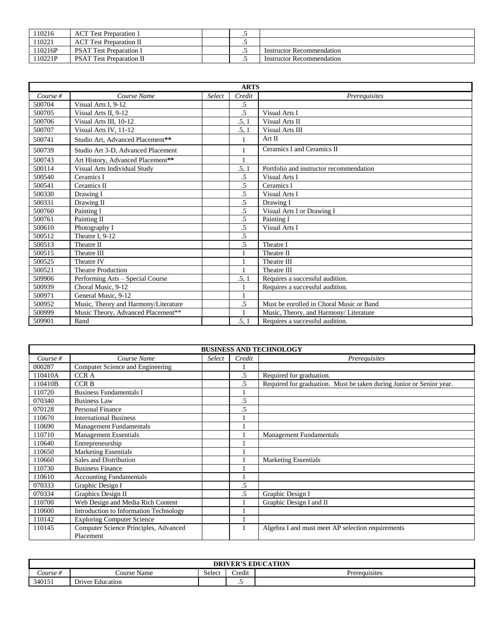| 110216  | <b>ACT</b> Test Preparation 1   | $\ddot{\phantom{0}}$ |                                  |
|---------|---------------------------------|----------------------|----------------------------------|
| 110221  | <b>ACT</b> Test Preparation II  | ت                    |                                  |
| 110216P | <b>PSAT Test Preparation I</b>  | ت                    | Instructor Recommendation        |
| 110221P | <b>PSAT Test Preparation II</b> | $\cdot$              | <b>Instructor Recommendation</b> |

|            |                                      |        | <b>ARTS</b>     |                                          |
|------------|--------------------------------------|--------|-----------------|------------------------------------------|
| Course $#$ | Course Name                          | Select | Credit          | Prerequisites                            |
| 500704     | Visual Arts I, 9-12                  |        | .5              |                                          |
| 500705     | Visual Arts II, 9-12                 |        | .5              | Visual Arts I                            |
| 500706     | Visual Arts III, 10-12               |        | .5, 1           | Visual Arts II                           |
| 500707     | Visual Arts IV, 11-12                |        | .5, 1           | Visual Arts III                          |
| 500741     | Studio Art. Advanced Placement**     |        | 1               | Art II                                   |
| 500739     | Studio Art 3-D, Advanced Placement   |        | 1               | Ceramics I and Ceramics II               |
| 500743     | Art History, Advanced Placement**    |        |                 |                                          |
| 500114     | Visual Arts Individual Study         |        | .5, 1           | Portfolio and instructor recommendation  |
| 500540     | Ceramics I                           |        | .5              | Visual Arts I                            |
| 500541     | Ceramics II                          |        | .5              | Ceramics I                               |
| 500330     | Drawing I                            |        | .5              | Visual Arts I                            |
| 500331     | Drawing II                           |        | $\overline{.5}$ | Drawing I                                |
| 500760     | Painting I                           |        | $.5\,$          | Visual Arts I or Drawing I               |
| 500761     | Painting II                          |        | $\overline{.5}$ | Painting I                               |
| 500610     | Photography I                        |        | $.5\,$          | Visual Arts I                            |
| 500512     | Theatre I. 9-12                      |        | .5              |                                          |
| 500513     | Theatre II                           |        | .5              | Theatre I                                |
| 500515     | Theatre III                          |        |                 | Theatre II                               |
| 500525     | Theatre IV                           |        |                 | Theatre III                              |
| 500521     | <b>Theatre Production</b>            |        |                 | Theatre III                              |
| 509906     | Performing Arts - Special Course     |        | .5, 1           | Requires a successful audition.          |
| 500939     | Choral Music, 9-12                   |        | 1               | Requires a successful audition.          |
| 500971     | General Music, 9-12                  |        |                 |                                          |
| 500952     | Music, Theory and Harmony/Literature |        | .5              | Must be enrolled in Choral Music or Band |
| 500999     | Music Theory, Advanced Placement**   |        | 1               | Music, Theory, and Harmony/Literature    |
| 509901     | Band                                 |        | .5, 1           | Requires a successful audition.          |

| <b>BUSINESS AND TECHNOLOGY</b> |                                                    |        |        |                                                                      |  |  |
|--------------------------------|----------------------------------------------------|--------|--------|----------------------------------------------------------------------|--|--|
| Course $#$                     | Course Name                                        | Select | Credit | Prerequisites                                                        |  |  |
| 000287                         | Computer Science and Engineering                   |        |        |                                                                      |  |  |
| 110410A                        | CCR A                                              |        | .5     | Required for graduation.                                             |  |  |
| 110410B                        | <b>CCRB</b>                                        |        | .5     | Required for graduation. Must be taken during Junior or Senior year. |  |  |
| 110720                         | <b>Business Fundamentals I</b>                     |        |        |                                                                      |  |  |
| 070340                         | <b>Business Law</b>                                |        | .5     |                                                                      |  |  |
| 070128                         | <b>Personal Finance</b>                            |        | .5     |                                                                      |  |  |
| 110670                         | <b>International Business</b>                      |        |        |                                                                      |  |  |
| 110690                         | <b>Management Fundamentals</b>                     |        |        |                                                                      |  |  |
| 110710                         | <b>Management Essentials</b>                       |        |        | <b>Management Fundamentals</b>                                       |  |  |
| 110640                         | Entrepreneurship                                   |        |        |                                                                      |  |  |
| 110650                         | <b>Marketing Essentials</b>                        |        |        |                                                                      |  |  |
| 110660                         | Sales and Distribution                             |        |        | <b>Marketing Essentials</b>                                          |  |  |
| 110730                         | <b>Business Finance</b>                            |        |        |                                                                      |  |  |
| 110610                         | <b>Accounting Fundamentals</b>                     |        |        |                                                                      |  |  |
| 070333                         | Graphic Design I                                   |        | .5     |                                                                      |  |  |
| 070334                         | Graphics Design II                                 |        | .5     | Graphic Design I                                                     |  |  |
| 110700                         | Web Design and Media Rich Content                  |        |        | Graphic Design I and II                                              |  |  |
| 110600                         | Introduction to Information Technology             |        |        |                                                                      |  |  |
| 110142                         | <b>Exploring Computer Science</b>                  |        |        |                                                                      |  |  |
| 110145                         | Computer Science Principles, Advanced<br>Placement |        |        | Algebra I and must meet AP selection requirements                    |  |  |

| <b>DRIVER'S EDUCA</b><br>ATION |                                                    |        |                  |               |  |  |
|--------------------------------|----------------------------------------------------|--------|------------------|---------------|--|--|
| $\angle$ ourse #               | 'ourse Name                                        | Select | $\cdot$<br>redit | Prerequisites |  |  |
| 340151                         | $\mathbf{r}$<br>$\mathbf{r}$ .<br>Driver Education |        | $\cdot$ $\cdot$  |               |  |  |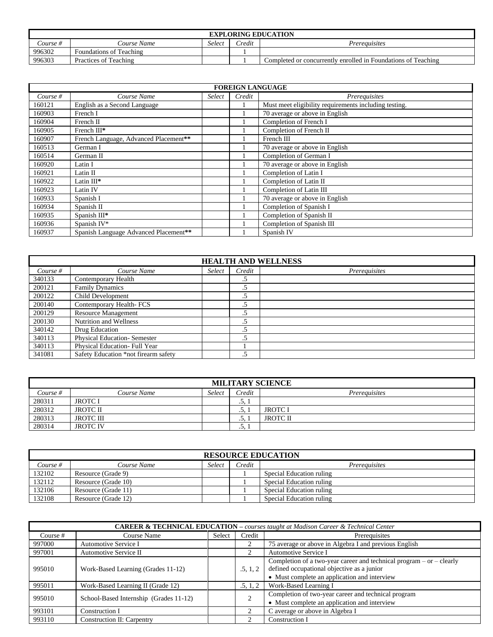| <b>EXPLORING EDUCATION</b> |                         |        |               |                                                               |  |
|----------------------------|-------------------------|--------|---------------|---------------------------------------------------------------|--|
| Course #                   | <i>Lourse Name</i>      | Select | <i>Predit</i> | Prereauisites                                                 |  |
| 996302                     | Foundations of Teaching |        |               |                                                               |  |
| 996303                     | Practices of Teaching   |        |               | Completed or concurrently enrolled in Foundations of Teaching |  |

| <b>FOREIGN LANGUAGE</b> |                                       |        |        |                                                       |  |  |
|-------------------------|---------------------------------------|--------|--------|-------------------------------------------------------|--|--|
| Course $#$              | Course Name                           | Select | Credit | Prerequisites                                         |  |  |
| 160121                  | English as a Second Language          |        |        | Must meet eligibility requirements including testing. |  |  |
| 160903                  | French I                              |        |        | 70 average or above in English                        |  |  |
| 160904                  | French II                             |        |        | Completion of French I                                |  |  |
| 160905                  | French III*                           |        |        | Completion of French II                               |  |  |
| 160907                  | French Language, Advanced Placement** |        |        | French III                                            |  |  |
| 160513                  | German I                              |        |        | 70 average or above in English                        |  |  |
| 160514                  | German II                             |        |        | Completion of German I                                |  |  |
| 160920                  | Latin I                               |        |        | 70 average or above in English                        |  |  |
| 160921                  | Latin II                              |        | л.     | Completion of Latin I                                 |  |  |
| 160922                  | Latin III*                            |        |        | Completion of Latin II                                |  |  |
| 160923                  | Latin IV                              |        | ı      | Completion of Latin III                               |  |  |
| 160933                  | Spanish I                             |        | 1      | 70 average or above in English                        |  |  |
| 160934                  | Spanish II                            |        | 1      | Completion of Spanish I                               |  |  |
| 160935                  | Spanish III*                          |        | 1      | Completion of Spanish II                              |  |  |
| 160936                  | Spanish IV*                           |        |        | Completion of Spanish III                             |  |  |
| 160937                  | Spanish Language Advanced Placement** |        |        | Spanish IV                                            |  |  |

| <b>HEALTH AND WELLNESS</b> |                                      |        |        |               |  |
|----------------------------|--------------------------------------|--------|--------|---------------|--|
| Course $#$                 | Course Name                          | Select | Credit | Prerequisites |  |
| 340133                     | Contemporary Health                  |        | .5     |               |  |
| 200121                     | <b>Family Dynamics</b>               |        | .5     |               |  |
| 200122                     | Child Development                    |        | د.     |               |  |
| 200140                     | Contemporary Health-FCS              |        | .5     |               |  |
| 200129                     | <b>Resource Management</b>           |        | .5     |               |  |
| 200130                     | Nutrition and Wellness               |        |        |               |  |
| 340142                     | Drug Education                       |        | .5     |               |  |
| 340113                     | Physical Education-Semester          |        | .5     |               |  |
| 340113                     | Physical Education- Full Year        |        |        |               |  |
| 341081                     | Safety Education *not firearm safety |        |        |               |  |

| <b>MILITARY SCIENCE</b> |                  |        |        |                      |
|-------------------------|------------------|--------|--------|----------------------|
| Course #                | Course Name      | Select | Credit | <i>Prerequisites</i> |
| 280311                  | <b>JROTCI</b>    |        | .J. 1  |                      |
| 280312                  | <b>JROTC II</b>  |        | ر.,    | JROTC I              |
| 280313                  | <b>JROTC III</b> |        | ر.,    | JROTC II             |
| 280314                  | <b>JROTC IV</b>  |        | ۰ تاب  |                      |

| <b>RESOURCE EDUCATION</b> |                     |        |        |                          |
|---------------------------|---------------------|--------|--------|--------------------------|
| Course #                  | Course Name         | Select | Credit | Prereauisites            |
| 132102                    | Resource (Grade 9)  |        |        | Special Education ruling |
| 132112                    | Resource (Grade 10) |        |        | Special Education ruling |
| 132106                    | Resource (Grade 11) |        |        | Special Education ruling |
| 132108                    | Resource (Grade 12) |        |        | Special Education ruling |

| <b>CAREER &amp; TECHNICAL EDUCATION</b> – courses taught at Madison Career & Technical Center |                                        |        |               |                                                                                                                                                                        |
|-----------------------------------------------------------------------------------------------|----------------------------------------|--------|---------------|------------------------------------------------------------------------------------------------------------------------------------------------------------------------|
| Course #                                                                                      | Course Name                            | Select | Credit        | Prerequisites                                                                                                                                                          |
| 997000                                                                                        | Automotive Service I                   |        | 2             | 75 average or above in Algebra I and previous English                                                                                                                  |
| 997001                                                                                        | Automotive Service II                  |        |               | Automotive Service I                                                                                                                                                   |
| 995010                                                                                        | Work-Based Learning (Grades 11-12)     |        | .5, 1, 2      | Completion of a two-year career and technical program $-$ or $-$ clearly<br>defined occupational objective as a junior<br>• Must complete an application and interview |
| 995011                                                                                        | Work-Based Learning II (Grade 12)      |        | .5, 1, 2      | Work-Based Learning I                                                                                                                                                  |
| 995010                                                                                        | School-Based Internship (Grades 11-12) |        | $\sim$        | Completion of two-year career and technical program<br>• Must complete an application and interview                                                                    |
| 993101                                                                                        | Construction I                         |        | $\mathcal{L}$ | C average or above in Algebra I                                                                                                                                        |
| 993110                                                                                        | Construction II: Carpentry             |        | ∍             | Construction I                                                                                                                                                         |